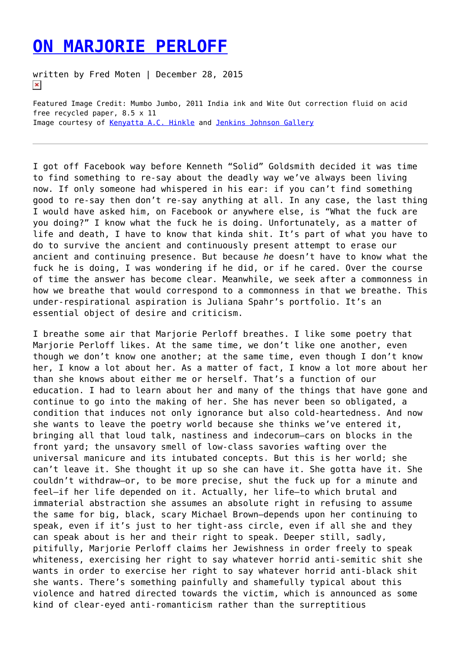## **[ON MARJORIE PERLOFF](https://entropymag.org/on-marjorie-perloff/)**

written by Fred Moten | December 28, 2015  $\pmb{\times}$ 

Featured Image Credit: Mumbo Jumbo, 2011 India ink and Wite Out correction fluid on acid free recycled paper, 8.5 x 11 Image courtesy of [Kenyatta A.C. Hinkle](http://www.kachstudio.com) and [Jenkins Johnson Gallery](http://www.jenkinsjohnsongallery.com)

I got off Facebook way before Kenneth "Solid" Goldsmith decided it was time to find something to re-say about the deadly way we've always been living now. If only someone had whispered in his ear: if you can't find something good to re-say then don't re-say anything at all. In any case, the last thing I would have asked him, on Facebook or anywhere else, is "What the fuck are you doing?" I know what the fuck he is doing. Unfortunately, as a matter of life and death, I have to know that kinda shit. It's part of what you have to do to survive the ancient and continuously present attempt to erase our ancient and continuing presence. But because *he* doesn't have to know what the fuck he is doing, I was wondering if he did, or if he cared. Over the course of time the answer has become clear. Meanwhile, we seek after a commonness in how we breathe that would correspond to a commonness in that we breathe. This under-respirational aspiration is Juliana Spahr's portfolio. It's an essential object of desire and criticism.

I breathe some air that Marjorie Perloff breathes. I like some poetry that Marjorie Perloff likes. At the same time, we don't like one another, even though we don't know one another; at the same time, even though I don't know her, I know a lot about her. As a matter of fact, I know a lot more about her than she knows about either me or herself. That's a function of our education. I had to learn about her and many of the things that have gone and continue to go into the making of her. She has never been so obligated, a condition that induces not only ignorance but also cold-heartedness. And now she wants to leave the poetry world because she thinks we've entered it, bringing all that loud talk, nastiness and indecorum—cars on blocks in the front yard; the unsavory smell of low-class savories wafting over the universal manicure and its intubated concepts. But this is her world; she can't leave it. She thought it up so she can have it. She gotta have it. She couldn't withdraw—or, to be more precise, shut the fuck up for a minute and feel—if her life depended on it. Actually, her life—to which brutal and immaterial abstraction she assumes an absolute right in refusing to assume the same for big, black, scary Michael Brown—depends upon her continuing to speak, even if it's just to her tight-ass circle, even if all she and they can speak about is her and their right to speak. Deeper still, sadly, pitifully, Marjorie Perloff claims her Jewishness in order freely to speak whiteness, exercising her right to say whatever horrid anti-semitic shit she wants in order to exercise her right to say whatever horrid anti-black shit she wants. There's something painfully and shamefully typical about this violence and hatred directed towards the victim, which is announced as some kind of clear-eyed anti-romanticism rather than the surreptitious